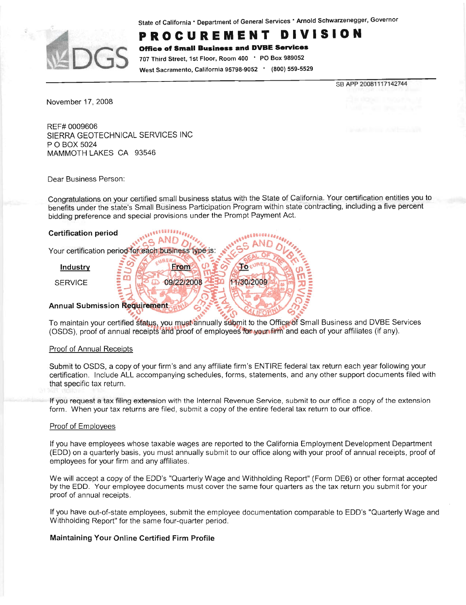State of California \* Department of General Services \* Arnold Schwarzenegger, Governor



#### PROCUREMENT VISION D I

**Office of Small Business and DVBE Services** 

707 Third Street, 1st Floor, Room 400 ' PO Box 989052 West Sacramento, California 95798-9052 . (800) 559-5529

SB APP 20081117142744

November 17, 2008

REF# 0009606 SIERRA GEOTECHNICAL SERVICES INC P O BOX 5024 MAMMOTH LAKES CA 93546

Dear Business Person:

Congratulations on your certified small business status with the State of California. Your certification entitles you to benefits under the state's Small Business Participation Program within state contracting, including a five percent bidding preference and special provisions under the Prompt Payment Act.

То

11/30/2009

# **Certification period**

**GAND** Your certification period for each business type is:

**From** 

09/22/2008

 $\mathcal{C}$ 

B

Industry

**SERVICE** 

# **Annual Submission Requirement**

To maintain your certified status, you must annually submit to the Office of Small Business and DVBE Services (OSDS), proof of annual receipts and proof of employees for your firm and each of your affiliates (if any).

# Proof of Annual Receipts

Submit to OSDS, a copy of your firm's and any affiliate firm's ENTIRE federal tax return each year following your certification. Include ALL accompanying schedules, forms, statements, and any other support documents filed with that specific tax return.

If you request a tax filing extension with the Internal Revenue Service, submit to our office a copy of the extension form. When your tax returns are filed, submit a copy of the entire federal tax return to our office.

#### Proof of Employees

If you have employees whose taxable wages are reported to the California Employment Development Department (EDD) on a quarterly basis, you must annually submit to our office along with your proof of annual receipts, proof of employees for your firm and any affiliates.

We will accept a copy of the EDD's "Quarterly Wage and Withholding Report" (Form DE6) or other format accepted by the EDD. Your employee documents must cover the same four quarters as the tax return you submit for your proof of annual receipts.

If you have out-of-state employees, submit the employee documentation comparable to EDD's "Quarterly Wage and Withholding Report" for the same four-quarter period.

# Maintaining Your Online Certified Firm Profile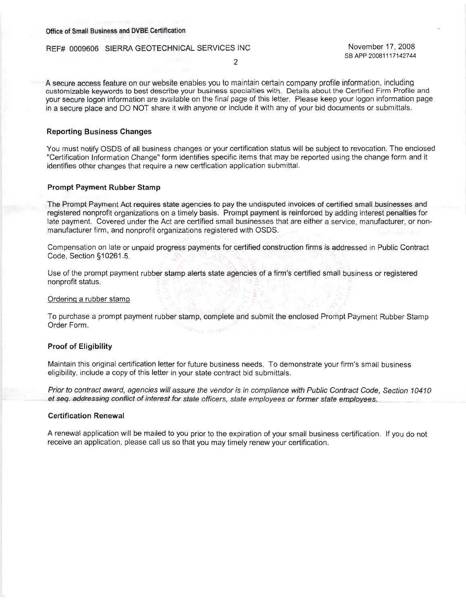#### Office of Small Business and DVBE Certification

#### REF# 0009606 SIERRA GEOTECHNICAL SERVICES INC

November 17, 2008 SB APP 20081117142744

A secure access feature on our website enables you to maintain certain company profile information, including customizable keywords to best describe your business specialties with. Details about the Certified Firm Profile and your secure logon information are available on the final page of this letter. Please keep your logon information page in a secure place and DO NOT share it with anyone or include it with any of your bid documents or submittals.

### **Reporting Business Changes**

You must notify OSDS of all business changes or your certification status will be subject to revocation. The enclosed "Certification Information Change" form identifies specific items that may be reported using the change form and it identifies other changes that require a new certfication application submittal.

#### **Prompt Payment Rubber Stamp**

The Prompt Payment Act requires state agencies to pay the undisputed invoices of certified small businesses and registered nonprofit organizations on a timely basis. Prompt payment is reinforced by adding interest penalties for late payment. Covered under the Act are certified small businesses that are either a service, manufacturer, or nonmanufacturer firm, and nonprofit organizations registered with OSDS.

Compensation on late or unpaid progress payments for certified construction firms is addressed in Public Contract Code, Section §10261.5.

Use of the prompt payment rubber stamp alerts state agencies of a firm's certified small business or registered nonprofit status.

#### Ordering a rubber stamp

To purchase a prompt payment rubber stamp, complete and submit the enclosed Prompt Payment Rubber Stamp Order Form. Corespondi

#### **Proof of Eligibility**

Maintain this original certification letter for future business needs. To demonstrate your firm's small business eligibility, include a copy of this letter in your state contract bid submittals.

Prior to contract award, agencies will assure the vendor is in compliance with Public Contract Code, Section 10410 et seq. addressing conflict of interest for state officers, state employees or former state employees.

#### **Certification Renewal**

A renewal application will be mailed to you prior to the expiration of your small business certification. If you do not receive an application, please call us so that you may timely renew your certification.

 $\overline{2}$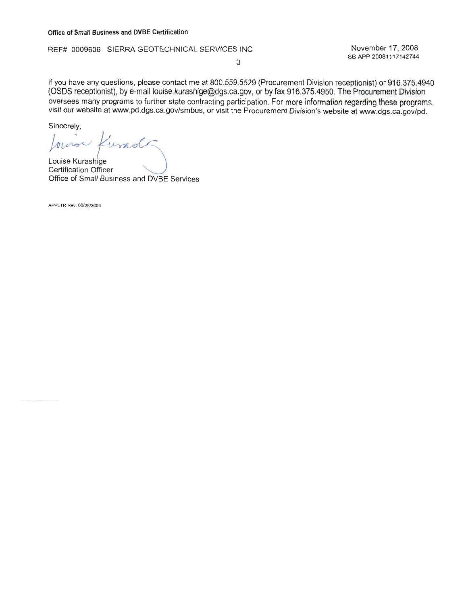REF# 0009606 SIERRA GEOTECHNICAL SERVICES INC

November 17, 2008 SB APP 20081117142744

3

If you have any questions, please contact me at 800.559.5529 (Procurement Division receptionist) or 916.375.4940 (OSDS receptionist), by e-mail louise.kurashige@dgs.ca.gov, or by fax 916.375.4950. The Procurement Division oversees many programs to further state contracting participation. For more information regarding these programs, visit our website at www.pd.dgs.ca.gov/smbus, or visit the Procurement Division's website at www.dgs.ca.gov/pd.

Sincerely,

buro 7 und

Louise Kurashige **Certification Officer** Office of Small Business and DVBE Services

APPLTR Rev. 06/28/2004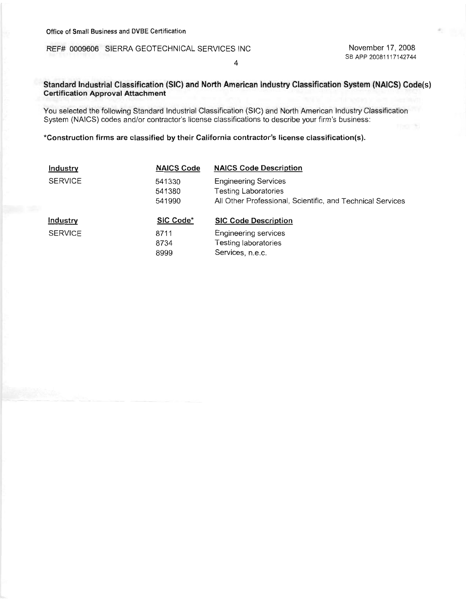# REF# 0009606 SIERRA GEOTECHNICAL SERVICES INC

November 17, 2008 SB APP 20081117142744

# $\overline{4}$

# Standard Industrial Classification (SIC) and North American Industry Classification System (NAICS) Code(s) **Certification Approval Attachment**

You selected the following Standard Industrial Classification (SIC) and North American Industry Classification System (NAICS) codes and/or contractor's license classifications to describe your firm's business:

## \*Construction firms are classified by their California contractor's license classification(s).

| <b>Industry</b> | <b>NAICS Code</b>          | <b>NAICS Code Description</b>                                                                                            |
|-----------------|----------------------------|--------------------------------------------------------------------------------------------------------------------------|
| <b>SERVICE</b>  | 541330<br>541380<br>541990 | <b>Engineering Services</b><br><b>Testing Laboratories</b><br>All Other Professional, Scientific, and Technical Services |
| Industry        | SIC Code*                  | <b>SIC Code Description</b>                                                                                              |
| <b>SERVICE</b>  | 8711<br>8734<br>8999       | Engineering services<br>Testing laboratories<br>Services, n.e.c.                                                         |